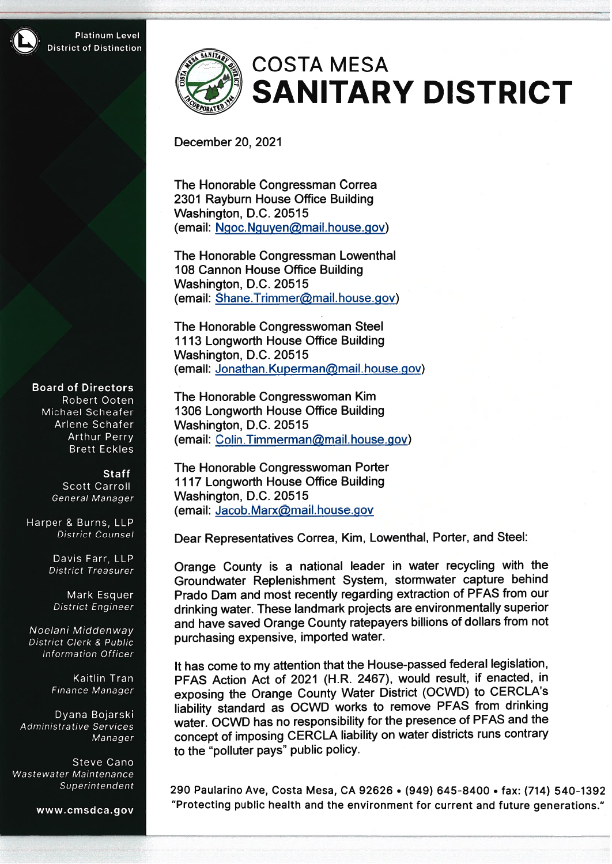# **COSTA MESA SANITARY DISTRICT**

## December 20, 2021

The Honorable Congressman Correa 2301 Rayburn House Office Building Washington, D.C. 20515 (email: Ngoc.Nguyen@mail.house.gov)

The Honorable Congressman Lowenthal 108 Cannon House Office Building Washington, D.C. 20515 (email: Shane.Trimmer@mail.house.gov)

The Honorable Congresswoman Steel 1113 Longworth House Office Building Washington, D.C. 20515 (email: Jonathan.Kuperman@mail.house.gov)

The Honorable Congresswoman Kim 1306 Longworth House Office Building Washington, D.C. 20515 (email: Colin.Timmerman@mail.house.gov)

The Honorable Congresswoman Porter 1117 Longworth House Office Building Washington, D.C. 20515 (email: Jacob.Marx@mail.house.gov

Dear Representatives Correa, Kim, Lowenthal, Porter, and Steel:

Orange County is a national leader in water recycling with the Groundwater Replenishment System, stormwater capture behind Prado Dam and most recently regarding extraction of PFAS from our drinking water. These landmark projects are environmentally superior and have saved Orange County ratepayers billions of dollars from not purchasing expensive, imported water.

It has come to my attention that the House-passed federal legislation, PFAS Action Act of 2021 (H.R. 2467), would result, if enacted, in exposing the Orange County Water District (OCWD) to CERCLA's liability standard as OCWD works to remove PFAS from drinking water. OCWD has no responsibility for the presence of PFAS and the concept of imposing CERCLA liability on water districts runs contrary to the "polluter pays" public policy.

290 Paularino Ave, Costa Mesa, CA 92626 . (949) 645-8400 . fax: (714) 540-1392 "Protecting public health and the environment for current and future generations."

**Board of Directors** Robert Ooten Michael Scheafer Arlene Schafer **Arthur Perry Brett Eckles** 

> **Staff** Scott Carroll General Manager

Harper & Burns, LLP District Counsel

> Davis Farr, LLP **District Treasurer**

Mark Esquer **District Engineer** 

Noelani Middenway **District Clerk & Public Information Officer** 

> Kaitlin Tran Finance Manager

Dyana Bojarski Administrative Services Manager

Steve Cano Wastewater Maintenance Superintendent

www.cmsdca.gov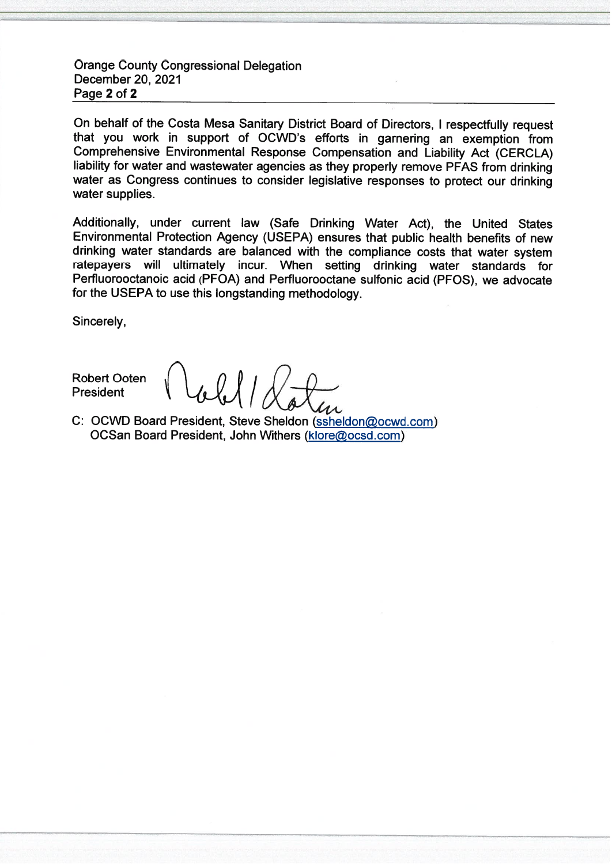**Orange County Congressional Delegation** December 20, 2021 Page 2 of 2

On behalf of the Costa Mesa Sanitary District Board of Directors. I respectfully request that you work in support of OCWD's efforts in garnering an exemption from Comprehensive Environmental Response Compensation and Liability Act (CERCLA) liability for water and wastewater agencies as they properly remove PFAS from drinking water as Congress continues to consider legislative responses to protect our drinking water supplies.

Additionally, under current law (Safe Drinking Water Act), the United States Environmental Protection Agency (USEPA) ensures that public health benefits of new drinking water standards are balanced with the compliance costs that water system ratepavers will ultimately incur. When setting drinking water standards for Perfluorooctanoic acid (PFOA) and Perfluorooctane sulfonic acid (PFOS), we advocate for the USEPA to use this longstanding methodology.

Sincerely,

**Robert Ooten President** 

C: OCWD Board President, Steve Sheldon (ssheldon@ocwd.com) OCSan Board President, John Withers (klore@ocsd.com)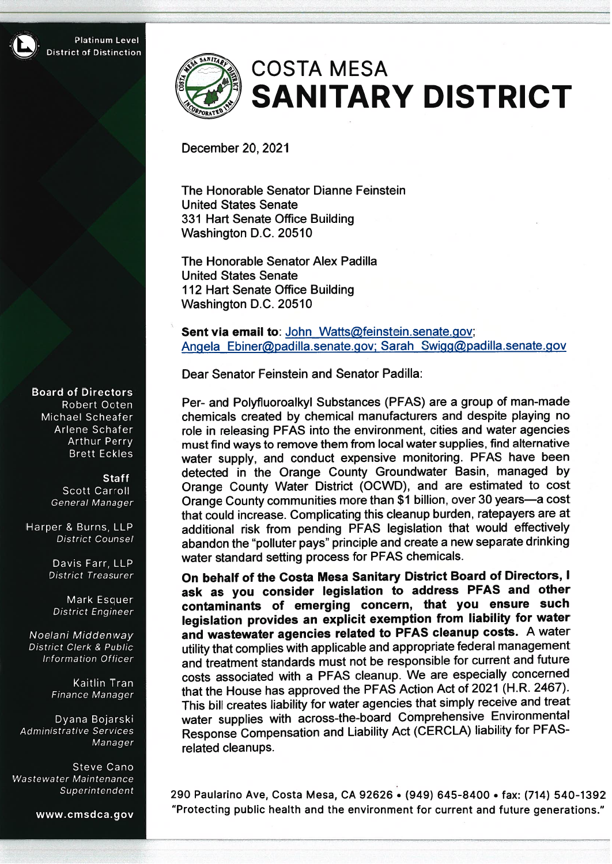# **COSTA MESA SANITARY DISTRICT**

December 20, 2021

The Honorable Senator Dianne Feinstein **United States Senate** 331 Hart Senate Office Building Washington D.C. 20510

The Honorable Senator Alex Padilla **United States Senate** 112 Hart Senate Office Building Washington D.C. 20510

Sent via email to: John Watts@feinstein.senate.gov; Angela Ebiner@padilla.senate.gov; Sarah Swigg@padilla.senate.gov

Dear Senator Feinstein and Senator Padilla:

Per- and Polyfluoroalkyl Substances (PFAS) are a group of man-made chemicals created by chemical manufacturers and despite playing no role in releasing PFAS into the environment, cities and water agencies must find ways to remove them from local water supplies, find alternative water supply, and conduct expensive monitoring. PFAS have been detected in the Orange County Groundwater Basin, managed by Orange County Water District (OCWD), and are estimated to cost Orange County communities more than \$1 billion, over 30 years—a cost that could increase. Complicating this cleanup burden, ratepayers are at additional risk from pending PFAS legislation that would effectively abandon the "polluter pays" principle and create a new separate drinking water standard setting process for PFAS chemicals.

On behalf of the Costa Mesa Sanitary District Board of Directors, I ask as you consider legislation to address PFAS and other contaminants of emerging concern, that you ensure such legislation provides an explicit exemption from liability for water and wastewater agencies related to PFAS cleanup costs. A water utility that complies with applicable and appropriate federal management and treatment standards must not be responsible for current and future costs associated with a PFAS cleanup. We are especially concerned that the House has approved the PFAS Action Act of 2021 (H.R. 2467). This bill creates liability for water agencies that simply receive and treat water supplies with across-the-board Comprehensive Environmental Response Compensation and Liability Act (CERCLA) liability for PFASrelated cleanups.

290 Paularino Ave, Costa Mesa, CA 92626 . (949) 645-8400 . fax: (714) 540-1392 "Protecting public health and the environment for current and future generations."

#### **Board of Directors**

Robert Ooten Michael Scheafer Arlene Schafer **Arthur Perry Brett Eckles** 

> **Staff Scott Carroll** General Manager

Harper & Burns, LLP **District Counsel** 

> Davis Farr, LLP **District Treasurer**

Mark Esquer District Engineer

Noelani Middenway **District Clerk & Public** Information Officer

> Kaitlin Tran Finance Manager

Dyana Bojarski Administrative Services Manager

Steve Cano Wastewater Maintenance Superintendent

www.cmsdca.gov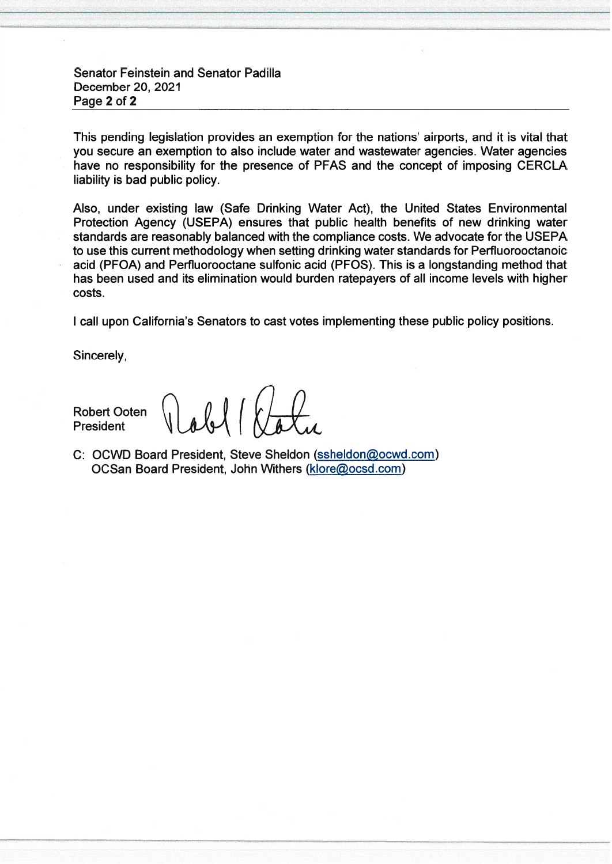### **Senator Feinstein and Senator Padilla** December 20, 2021 Page 2 of 2

This pending legislation provides an exemption for the nations' airports, and it is vital that you secure an exemption to also include water and wastewater agencies. Water agencies have no responsibility for the presence of PFAS and the concept of imposing CERCLA liability is bad public policy.

Also, under existing law (Safe Drinking Water Act), the United States Environmental Protection Agency (USEPA) ensures that public health benefits of new drinking water standards are reasonably balanced with the compliance costs. We advocate for the USEPA to use this current methodology when setting drinking water standards for Perfluorooctanoic acid (PFOA) and Perfluorooctane sulfonic acid (PFOS). This is a longstanding method that has been used and its elimination would burden ratepayers of all income levels with higher costs.

I call upon California's Senators to cast votes implementing these public policy positions.

Sincerely,

**Robert Ooten President** 

 $Wdd1k$ 

C: OCWD Board President, Steve Sheldon (ssheldon@ocwd.com) OCSan Board President, John Withers (klore@ocsd.com)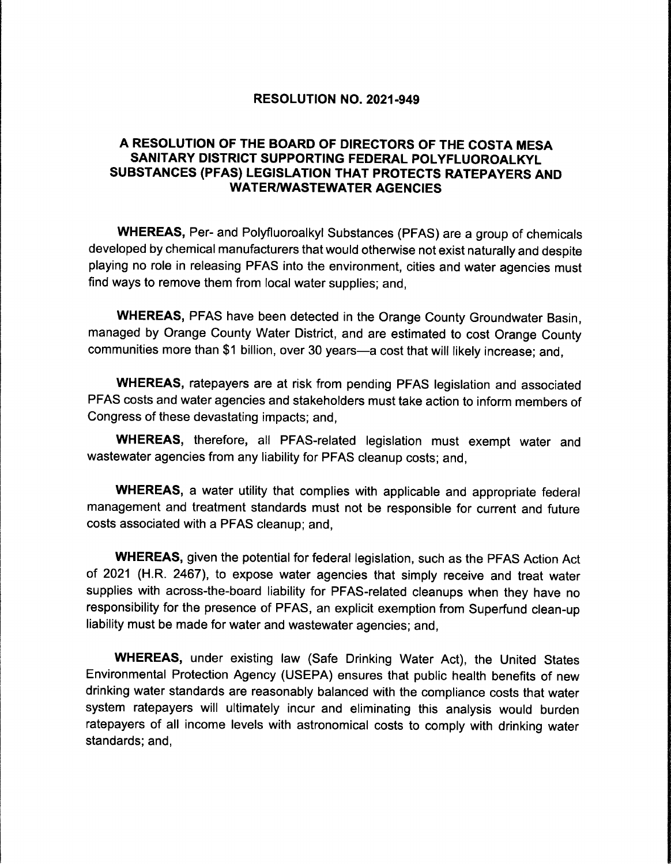#### RESOLUTION NO. 2021-949

### A RESOLUTION OF THE BOARD OF DIRECTORS OF THE COSTA MESA SANITARY DISTRICT SUPPORTING FEDERAL POLYFLUOROALKYL SUBSTANCES ( PFAS) LEGISLATION THAT PROTECTS RATEPAYERS AND **WATER/WASTEWATER AGENCIES**

WHEREAS, Per- and Polyfluoroalkyl Substances (PFAS) are a group of chemicals developed by chemical manufacturers that would otherwise not exist naturally and despite playing no role in releasing PFAS into the environment, cities and water agencies must find ways to remove them from local water supplies; and,

WHEREAS, PFAS have been detected in the Orange County Groundwater Basin, managed by Orange County Water District, and are estimated to cost Orange County communities more than \$1 billion, over 30 years—a cost that will likely increase; and,

WHEREAS, ratepayers are at risk from pending PFAS legislation and associated PFAS costs and water agencies and stakeholders must take action to inform members of Congress of these devastating impacts; and,

WHEREAS, therefore, all PFAS-related legislation must exempt water and wastewater agencies from any liability for PFAS cleanup costs; and,

WHEREAS, a water utility that complies with applicable and appropriate federal management and treatment standards must not be responsible for current and future costs associated with a PFAS cleanup; and,

WHEREAS, given the potential for federal legislation, such as the PFAS Action Act of 2021 (H.R. 2467), to expose water agencies that simply receive and treat water supplies with across-the-board liability for PFAS-related cleanups when they have no responsibility for the presence of PFAS, an explicit exemption from Superfund clean- up liability must be made for water and wastewater agencies; and,

WHEREAS, under existing law (Safe Drinking Water Act), the United States Environmental Protection Agency ( USEPA) ensures that public health benefits of new drinking water standards are reasonably balanced with the compliance costs that water system ratepayers will ultimately incur and eliminating this analysis would burden ratepayers of all income levels with astronomical costs to comply with drinking water standards; and,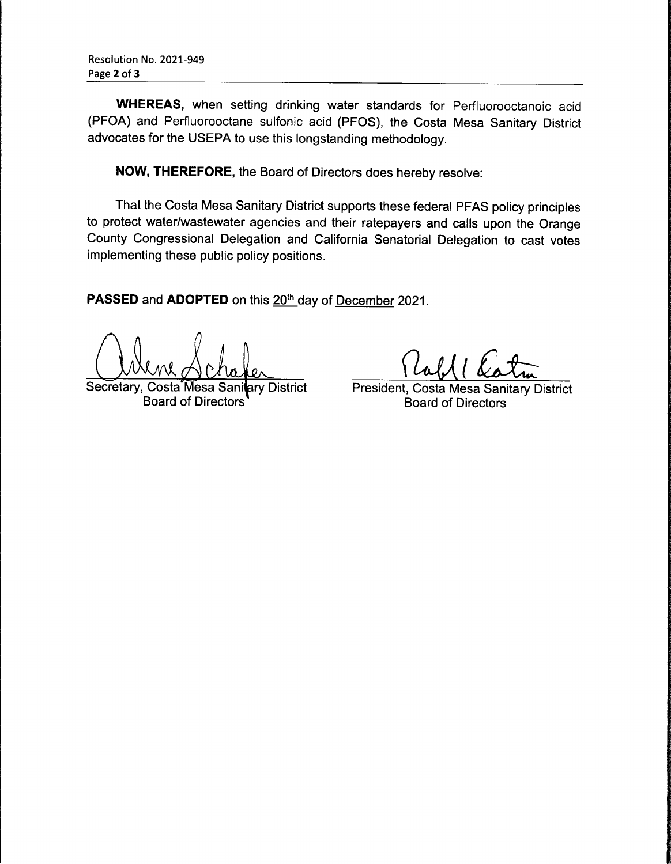WHEREAS, when setting drinking water standards for Perfluorooctanoic acid PFOA) and Perfluorooctane sulfonic acid ( PFOS), the Costa Mesa Sanitary District advocates for the USEPA to use this longstanding methodology.

NOW, THEREFORE, the Board of Directors does hereby resolve:

That the Costa Mesa Sanitary District supports these federal PFAS policy principles to protect water/wastewater agencies and their ratepayers and calls upon the Orange County Congressional Delegation and California Senatorial Delegation to cast votes implementing these public policy positions.

PASSED and ADOPTED on this 20<sup>th</sup> day of December 2021.

Were Schafer Pabl Cotu

Secretary, Costa Mesa Sanitary District President, Costa Mesa Sanitary District<br>Board of Directors Board of Directors **Board of Directors**